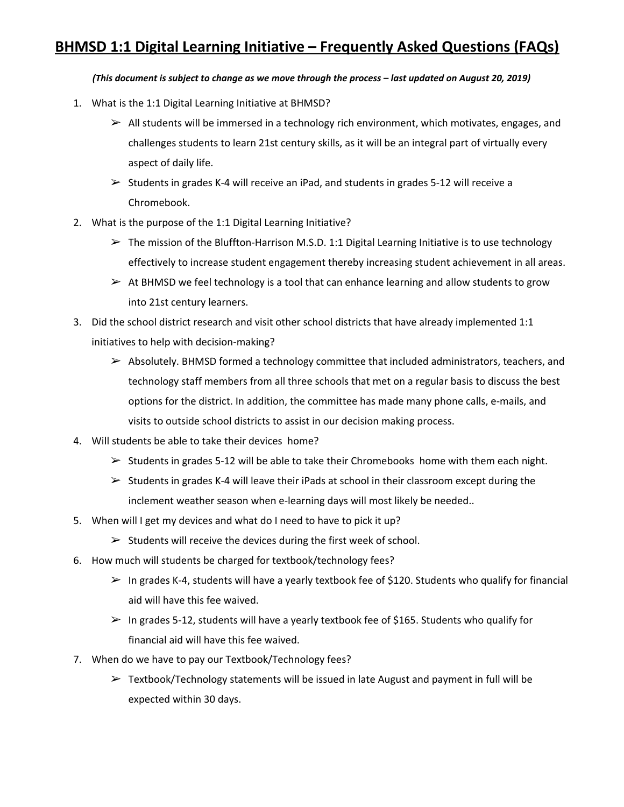## **BHMSD 1:1 Digital Learning Initiative – Frequently Asked Questions (FAQs)**

## (This document is subject to change as we move through the process - last updated on August 20, 2019)

- 1. What is the 1:1 Digital Learning Initiative at BHMSD?
	- $\triangleright$  All students will be immersed in a technology rich environment, which motivates, engages, and challenges students to learn 21st century skills, as it will be an integral part of virtually every aspect of daily life.
	- $\geq$  Students in grades K-4 will receive an iPad, and students in grades 5-12 will receive a Chromebook.
- 2. What is the purpose of the 1:1 Digital Learning Initiative?
	- $\triangleright$  The mission of the Bluffton-Harrison M.S.D. 1:1 Digital Learning Initiative is to use technology effectively to increase student engagement thereby increasing student achievement in all areas.
	- $\triangleright$  At BHMSD we feel technology is a tool that can enhance learning and allow students to grow into 21st century learners.
- 3. Did the school district research and visit other school districts that have already implemented 1:1 initiatives to help with decision-making?
	- ➢ Absolutely. BHMSD formed a technology committee that included administrators, teachers, and technology staff members from all three schools that met on a regular basis to discuss the best options for the district. In addition, the committee has made many phone calls, e-mails, and visits to outside school districts to assist in our decision making process.
- 4. Will students be able to take their devices home?
	- $\triangleright$  Students in grades 5-12 will be able to take their Chromebooks home with them each night.
	- $\triangleright$  Students in grades K-4 will leave their iPads at school in their classroom except during the inclement weather season when e-learning days will most likely be needed..
- 5. When will I get my devices and what do I need to have to pick it up?
	- $\triangleright$  Students will receive the devices during the first week of school.
- 6. How much will students be charged for textbook/technology fees?
	- $\triangleright$  In grades K-4, students will have a yearly textbook fee of \$120. Students who qualify for financial aid will have this fee waived.
	- $>$  In grades 5-12, students will have a yearly textbook fee of \$165. Students who qualify for financial aid will have this fee waived.
- 7. When do we have to pay our Textbook/Technology fees?
	- $\triangleright$  Textbook/Technology statements will be issued in late August and payment in full will be expected within 30 days.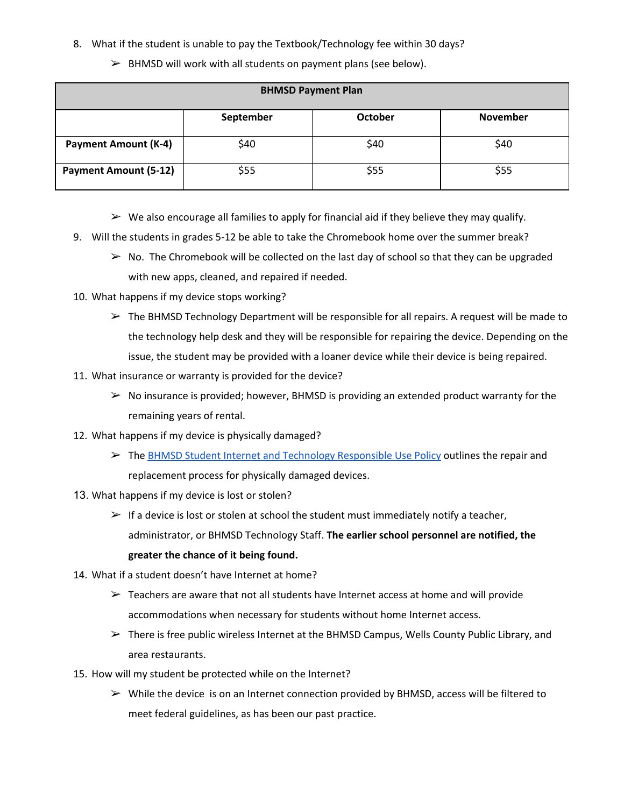- 8. What if the student is unable to pay the Textbook/Technology fee within 30 days?
	- $\triangleright$  BHMSD will work with all students on payment plans (see below).

| <b>BHMSD Payment Plan</b>    |           |                |                 |
|------------------------------|-----------|----------------|-----------------|
|                              | September | <b>October</b> | <b>November</b> |
| <b>Payment Amount (K-4)</b>  | \$40      | \$40           | \$40            |
| <b>Payment Amount (5-12)</b> | \$55      | \$55           | \$55            |

- $\triangleright$  We also encourage all families to apply for financial aid if they believe they may qualify.
- 9. Will the students in grades 5-12 be able to take the Chromebook home over the summer break?
	- $\triangleright$  No. The Chromebook will be collected on the last day of school so that they can be upgraded with new apps, cleaned, and repaired if needed.
- 10. What happens if my device stops working?
	- $\triangleright$  The BHMSD Technology Department will be responsible for all repairs. A request will be made to the technology help desk and they will be responsible for repairing the device. Depending on the issue, the student may be provided with a loaner device while their device is being repaired.
- 11. What insurance or warranty is provided for the device?
	- $\triangleright$  No insurance is provided; however, BHMSD is providing an extended product warranty for the remaining years of rental.
- 12. What happens if my device is physically damaged?
	- ➢ The BHMSD Student Internet and Technology [Responsible](http://bhmsd.org/UserFiles/Servers/Server_527457/File/rup.pdf) Use Policy outlines the repair and replacement process for physically damaged devices.
- 13. What happens if my device is lost or stolen?
	- $\triangleright$  If a device is lost or stolen at school the student must immediately notify a teacher, administrator, or BHMSD Technology Staff. **The earlier school personnel are notified, the greater the chance of it being found.**
- 14. What if a student doesn't have Internet at home?
	- $\triangleright$  Teachers are aware that not all students have Internet access at home and will provide accommodations when necessary for students without home Internet access.
	- $\triangleright$  There is free public wireless Internet at the BHMSD Campus, Wells County Public Library, and area restaurants.
- 15. How will my student be protected while on the Internet?
	- $\triangleright$  While the device is on an Internet connection provided by BHMSD, access will be filtered to meet federal guidelines, as has been our past practice.